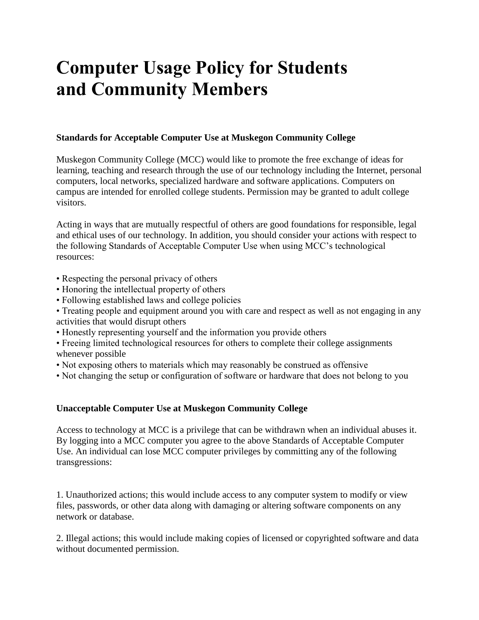# **Computer Usage Policy for Students and Community Members**

## **Standards for Acceptable Computer Use at Muskegon Community College**

Muskegon Community College (MCC) would like to promote the free exchange of ideas for learning, teaching and research through the use of our technology including the Internet, personal computers, local networks, specialized hardware and software applications. Computers on campus are intended for enrolled college students. Permission may be granted to adult college visitors.

Acting in ways that are mutually respectful of others are good foundations for responsible, legal and ethical uses of our technology. In addition, you should consider your actions with respect to the following Standards of Acceptable Computer Use when using MCC's technological resources:

- Respecting the personal privacy of others
- Honoring the intellectual property of others
- Following established laws and college policies
- Treating people and equipment around you with care and respect as well as not engaging in any activities that would disrupt others
- Honestly representing yourself and the information you provide others
- Freeing limited technological resources for others to complete their college assignments whenever possible
- Not exposing others to materials which may reasonably be construed as offensive
- Not changing the setup or configuration of software or hardware that does not belong to you

### **Unacceptable Computer Use at Muskegon Community College**

Access to technology at MCC is a privilege that can be withdrawn when an individual abuses it. By logging into a MCC computer you agree to the above Standards of Acceptable Computer Use. An individual can lose MCC computer privileges by committing any of the following transgressions:

1. Unauthorized actions; this would include access to any computer system to modify or view files, passwords, or other data along with damaging or altering software components on any network or database.

2. Illegal actions; this would include making copies of licensed or copyrighted software and data without documented permission.